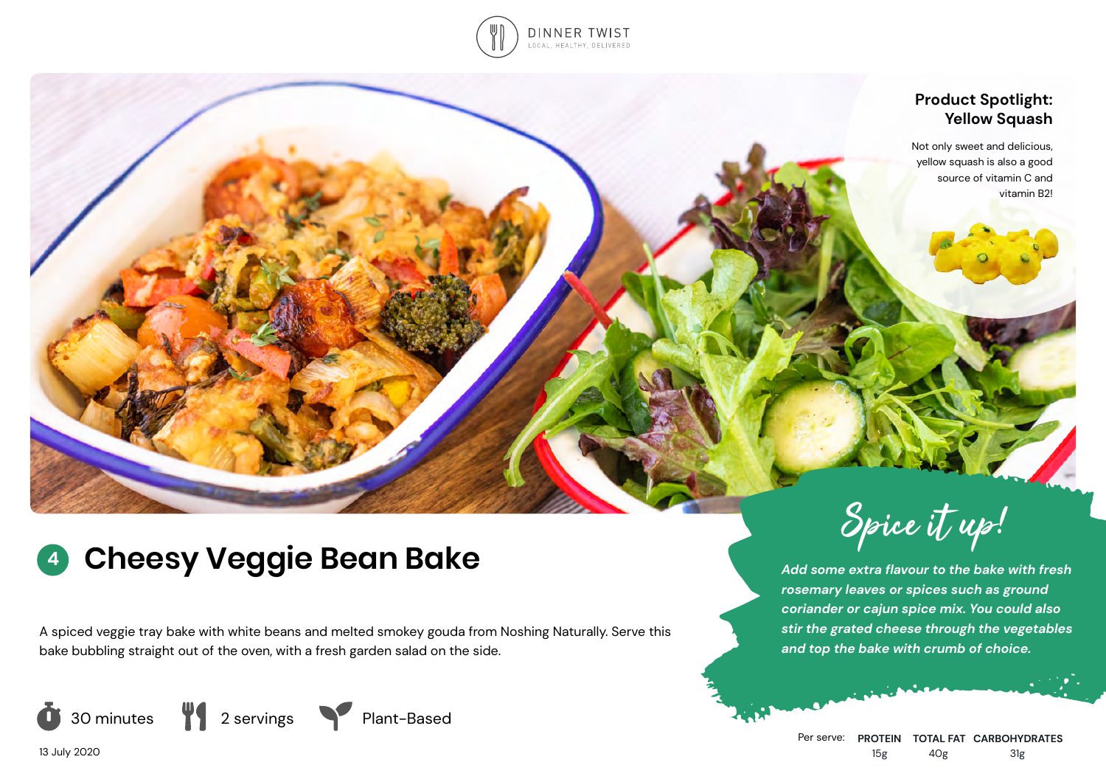

# **Product Spotlight: Yellow Squash**

Not only sweet and delicious, yellow squash is also a good source of vitamin C and vitamin B2!

# **<sup>4</sup> Cheesy Veggie Bean Bake**

A spiced veggie tray bake with white beans and melted smokey gouda from Noshing Naturally. Serve this bake bubbling straight out of the oven, with a fresh garden salad on the side.







Spice it up!

*Add some extra flavour to the bake with fresh rosemary leaves or spices such as ground coriander or cajun spice mix. You could also stir the grated cheese through the vegetables and top the bake with crumb of choice.*